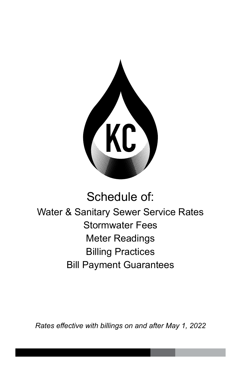

# Schedule of: Water & Sanitary Sewer Service Rates Stormwater Fees Meter Readings Billing Practices Bill Payment Guarantees

*Rates effective with billings on and after May 1, 2022*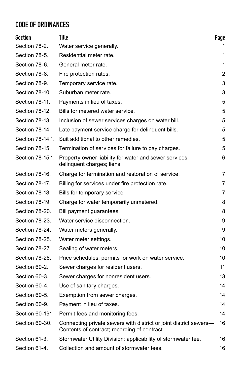## CODE OF ORDINANCES

| <b>Section</b>   | Title                                                                                                             | Page |
|------------------|-------------------------------------------------------------------------------------------------------------------|------|
| Section 78-2.    | Water service generally.                                                                                          | 1    |
| Section 78-5.    | Residential meter rate.                                                                                           | 1    |
| Section 78-6.    | General meter rate.                                                                                               | 1    |
| Section 78-8.    | Fire protection rates.                                                                                            | 2    |
| Section 78-9.    | Temporary service rate.                                                                                           | 3    |
| Section 78-10.   | Suburban meter rate.                                                                                              | 3    |
| Section 78-11.   | Payments in lieu of taxes.                                                                                        | 5    |
| Section 78-12.   | Bills for metered water service.                                                                                  | 5    |
| Section 78-13.   | Inclusion of sewer services charges on water bill.                                                                | 5    |
| Section 78-14.   | Late payment service charge for delinquent bills.                                                                 | 5    |
| Section 78-14.1. | Suit additional to other remedies.                                                                                | 5    |
| Section 78-15.   | Termination of services for failure to pay charges.                                                               | 5    |
| Section 78-15.1. | Property owner liability for water and sewer services;<br>delinquent charges; liens.                              | 6    |
| Section 78-16.   | Charge for termination and restoration of service.                                                                | 7    |
| Section 78-17.   | Billing for services under fire protection rate.                                                                  | 7    |
| Section 78-18.   | Bills for temporary service.                                                                                      | 7    |
| Section 78-19.   | Charge for water temporarily unmetered.                                                                           | 8    |
| Section 78-20.   | Bill payment guarantees.                                                                                          | 8    |
| Section 78-23.   | Water service disconnection.                                                                                      | 9    |
| Section 78-24.   | Water meters generally.                                                                                           | 9    |
| Section 78-25.   | Water meter settings.                                                                                             | 10   |
| Section 78-27.   | Sealing of water meters.                                                                                          | 10   |
| Section 78-28.   | Price schedules; permits for work on water service.                                                               | 10   |
| Section 60-2.    | Sewer charges for resident users.                                                                                 | 11   |
| Section 60-3.    | Sewer charges for nonresident users.                                                                              | 13   |
| Section 60-4.    | Use of sanitary charges.                                                                                          | 14   |
| Section 60-5.    | Exemption from sewer charges.                                                                                     | 14   |
| Section 60-9.    | Payment in lieu of taxes.                                                                                         | 14   |
| Section 60-191.  | Permit fees and monitoring fees.                                                                                  | 14   |
| Section 60-30.   | Connecting private sewers with district or joint district sewers-<br>Contents of contract; recording of contract. | 16   |
| Section 61-3.    | Stormwater Utility Division; applicability of stormwater fee.                                                     | 16   |
| Section 61-4.    | Collection and amount of stormwater fees.                                                                         | 16   |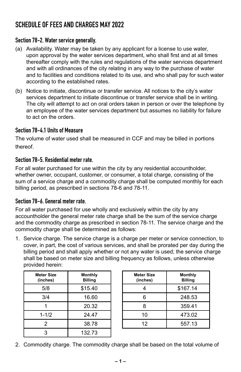## SCHEDULE OF FEES AND CHARGES MAY 2022

#### Section 78-2. Water service generally.

- (a) Availability. Water may be taken by any applicant for a license to use water, upon approval by the water services department, who shall first and at all times thereafter comply with the rules and regulations of the water services department and with all ordinances of the city relating in any way to the purchase of water and to facilities and conditions related to its use, and who shall pay for such water according to the established rates.
- (b) Notice to initiate, discontinue or transfer service. All notices to the city's water services department to initiate discontinue or transfer service shall be in writing. The city will attempt to act on oral orders taken in person or over the telephone by an employee of the water services department but assumes no liability for failure to act on the orders.

#### Section 78-4.1 Units of Measure

The volume of water used shall be measured in CCF and may be billed in portions thereof.

#### Section 78-5. Residential meter rate.

For all water purchased for use within the city by any residential accountholder, whether owner, occupant, customer, or consumer, a total charge, consisting of the sum of a service charge and a commodity charge shall be computed monthly for each billing period, as prescribed in sections 78-6 and 78-11.

#### Section 78-6. General meter rate.

For all water purchased for use wholly and exclusively within the city by any accountholder the general meter rate charge shall be the sum of the service charge and the commodity charge as prescribed in section 78-11. The service charge and the commodity charge shall be determined as follows:

1. Service charge. The service charge is a charge per meter or service connection, to cover, in part, the cost of various services, and shall be prorated per day during the billing period and shall apply whether or not any water is used; the service charge shall be based on meter size and billing frequency as follows, unless otherwise provided herein:

| <b>Meter Size</b><br>(inches) | <b>Monthly</b><br><b>Billing</b> |
|-------------------------------|----------------------------------|
| 5/8                           | \$15.40                          |
| 3/4                           | 16.60                            |
|                               | 20.32                            |
| $1 - 1/2$                     | 24.47                            |
| 2                             | 38.78                            |
| 3                             | 132.73                           |

| <b>Meter Size</b><br>(inches) | <b>Monthly</b><br><b>Billing</b> |
|-------------------------------|----------------------------------|
|                               | \$167.14                         |
| 6                             | 248.53                           |
| 8                             | 359.41                           |
| 10                            | 473.02                           |
| 12                            | 557.13                           |

2. Commodity charge. The commodity charge shall be based on the total volume of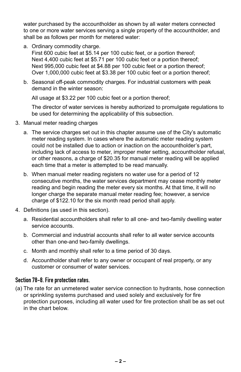water purchased by the accountholder as shown by all water meters connected to one or more water services serving a single property of the accountholder, and shall be as follows per month for metered water:

a. Ordinary commodity charge.

First 600 cubic feet at \$5.14 per 100 cubic feet, or a portion thereof; Next 4,400 cubic feet at \$5.71 per 100 cubic feet or a portion thereof; Next 995,000 cubic feet at \$4.88 per 100 cubic feet or a portion thereof; Over 1,000,000 cubic feet at \$3.38 per 100 cubic feet or a portion thereof;

b. Seasonal off-peak commodity charges. For industrial customers with peak demand in the winter season:

All usage at \$3.22 per 100 cubic feet or a portion thereof;

The director of water services is hereby authorized to promulgate regulations to be used for determining the applicability of this subsection.

- 3. Manual meter reading charges
	- a. The service charges set out in this chapter assume use of the City's automatic meter reading system. In cases where the automatic meter reading system could not be installed due to action or inaction on the accountholder's part, including lack of access to meter, improper meter setting, accountholder refusal, or other reasons, a charge of \$20.35 for manual meter reading will be applied each time that a meter is attempted to be read manually.
	- b. When manual meter reading registers no water use for a period of 12 consecutive months, the water services department may cease monthly meter reading and begin reading the meter every six months. At that time, it will no longer charge the separate manual meter reading fee; however, a service charge of \$122.10 for the six month read period shall apply.
- 4. Definitions (as used in this section).
	- a. Residential accountholders shall refer to all one- and two-family dwelling water service accounts.
	- b. Commercial and industrial accounts shall refer to all water service accounts other than one-and two-family dwellings.
	- c. Month and monthly shall refer to a time period of 30 days.
	- d. Accountholder shall refer to any owner or occupant of real property, or any customer or consumer of water services.

#### Section 78-8. Fire protection rates.

(a) The rate for an unmetered water service connection to hydrants, hose connection or sprinkling systems purchased and used solely and exclusively for fire protection purposes, including all water used for fire protection shall be as set out in the chart below.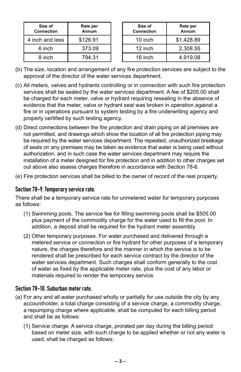| Size of<br><b>Connection</b> | Rate per<br>Annum |  |
|------------------------------|-------------------|--|
| 4 inch and less              | \$126.91          |  |
| 6 inch                       | 373.09            |  |
| 8 inch                       | 794.31            |  |

| Size of<br>Connection | Rate per<br>Annum |
|-----------------------|-------------------|
| 10 inch               | \$1,428.89        |
| 12 inch               | 2,308.55          |
| 16 inch               | 4.919.08          |

- (b) The size, location and arrangement of any fire protection services are subject to the approval of the director of the water services department.
- (c) All meters, valves and hydrants controlling or in connection with such fire protection services shall be sealed by the water services department. A fee of \$205.00 shall be charged for each meter, valve or hydrant requiring resealing in the absence of evidence that the meter, valve or hydrant seal was broken in operation against a fire or in operations pursuant to system testing by a fire underwriting agency and properly certified by such testing agency.
- (d) Direct connections between the fire protection and drain piping on all premises are not permitted, and drawings which show the location of all fire protection piping may be required by the water services department. The repeated, unauthorized breakage of seals on any premises may be taken as evidence that water is being used without authorization, and in such case the water services department may require the installation of a meter designed for fire protection and in addition to other charges set out above also assess charges therefore in accordance with Section 78-6.
- (e) Fire protection services shall be billed to the owner of record of the real property.

#### Section 78-9. Temporary service rate.

There shall be a temporary service rate for unmetered water for temporary purposes as follows:

- (1) Swimming pools. The service fee for filling swimming pools shall be \$505.00 plus payment of the commodity charge for the water used to fill the pool. In addition, a deposit shall be required for the hydrant meter assembly.
- (2) Other temporary purposes. For water purchased and delivered through a metered service or connection or fire hydrant for other purposes of a temporary nature, the charges therefore and the manner in which the service is to be rendered shall be prescribed for each service contract by the director of the water services department. Such charges shall conform generally to the cost of water as fixed by the applicable meter rate, plus the cost of any labor or materials required to render the temporary service.

#### Section 78-10. Suburban meter rate.

- (a) For any and all water purchased wholly or partially for use outside the city by any accountholder, a total charge consisting of a service charge, a commodity charge, a repumping charge where applicable, shall be computed for each billing period and shall be as follows:
	- (1) Service charge. A service charge, prorated per day during the billing period based on meter size, with such charge to be applied whether or not any water is used, shall be charged as follows: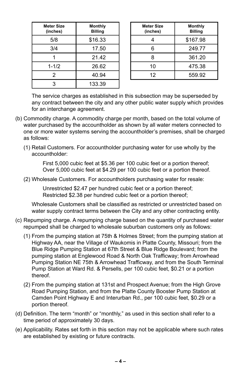| <b>Meter Size</b><br>(inches) | Monthly<br><b>Billing</b> |
|-------------------------------|---------------------------|
| 5/8                           | \$16.33                   |
| 3/4                           | 17.50                     |
|                               | 21.42                     |
| $1 - 1/2$                     | 26.62                     |
| 2                             | 40.94                     |
| 3                             | 133.39                    |

| <b>Meter Size</b><br>(inches) | Monthly<br><b>Billing</b> |
|-------------------------------|---------------------------|
|                               | \$167.98                  |
| 6                             | 249.77                    |
| R                             | 361.20                    |
| 10                            | 475.38                    |
| 12                            | 559.92                    |

The service charges as established in this subsection may be superseded by any contract between the city and any other public water supply which provides for an interchange agreement.

- (b) Commodity charge. A commodity charge per month, based on the total volume of water purchased by the accountholder as shown by all water meters connected to one or more water systems serving the accountholder's premises, shall be charged as follows:
	- (1) Retail Customers. For accountholder purchasing water for use wholly by the accountholder:

First 5,000 cubic feet at \$5.36 per 100 cubic feet or a portion thereof; Over 5,000 cubic feet at \$4.29 per 100 cubic feet or a portion thereof.

(2) Wholesale Customers. For accountholders purchasing water for resale:

Unrestricted \$2.47 per hundred cubic feet or a portion thereof; Restricted \$2.38 per hundred cubic feet or a portion thereof;

Wholesale Customers shall be classified as restricted or unrestricted based on water supply contract terms between the City and any other contracting entity.

- (c) Repumping charge. A repumping charge based on the quantity of purchased water repumped shall be charged to wholesale suburban customers only as follows:
	- (1) From the pumping station at 75th & Holmes Street; from the pumping station at Highway AA, near the Village of Waukomis in Platte County, Missouri; from the Blue Ridge Pumping Station at 67th Street & Blue Ridge Boulevard; from the pumping station at Englewood Road & North Oak Trafficway; from Arrowhead Pumping Station NE 75th & Arrowhead Trafficway, and from the South Terminal Pump Station at Ward Rd. & Persells, per 100 cubic feet, \$0.21 or a portion thereof.
	- (2) From the pumping station at 131st and Prospect Avenue; from the High Grove Road Pumping Station, and from the Platte County Booster Pump Station at Camden Point Highway E and Interurban Rd., per 100 cubic feet, \$0.29 or a portion thereof.
- (d) Definition. The term "month" or "monthly," as used in this section shall refer to a time period of approximately 30 days.
- (e) Applicability. Rates set forth in this section may not be applicable where such rates are established by existing or future contracts.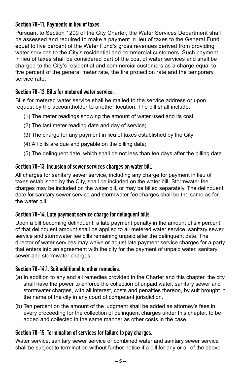#### Section 78-11. Payments in lieu of taxes.

Pursuant to Section 1209 of the City Charter, the Water Services Department shall be assessed and required to make a payment in lieu of taxes to the General Fund equal to five percent of the Water Fund's gross revenues derived from providing water services to the City's residential and commercial customers. Such payment in lieu of taxes shall be considered part of the cost of water services and shall be charged to the City's residential and commercial customers as a charge equal to five percent of the general meter rate, the fire protection rate and the temporary service rate.

#### Section 78-12. Bills for metered water service.

Bills for metered water service shall be mailed to the service address or upon request by the accountholder to another location. The bill shall include:

- (1) The meter readings showing the amount of water used and its cost;
- (2) The last meter reading date and day of service;
- (3) The charge for any payment in lieu of taxes established by the City;
- (4) All bills are due and payable on the billing date;
- (5) The delinquent date, which shall be not less than ten days after the billing date.

#### Section 78-13. Inclusion of sewer services charges on water bill.

All charges for sanitary sewer service, including any charge for payment in lieu of taxes established by the City, shall be included on the water bill. Stormwater fee charges may be included on the water bill, or may be billed separately. The delinquent date for sanitary sewer service and stormwater fee charges shall be the same as for the water bill.

#### Section 78-14. Late payment service charge for delinquent bills.

Upon a bill becoming delinquent, a late payment penalty in the amount of six percent of that delinquent amount shall be applied to all metered water service, sanitary sewer service and stormwater fee bills remaining unpaid after the delinquent date. The director of water services may waive or adjust late payment service charges for a party that enters into an agreement with the city for the payment of unpaid water, sanitary sewer and stormwater charges.

#### Section 78-14.1. Suit additional to other remedies.

- (a) In addition to any and all remedies provided in the Charter and this chapter, the city shall have the power to enforce the collection of unpaid water, sanitary sewer and stormwater charges, with all interest, costs and penalties thereon, by suit brought in the name of the city in any court of competent jurisdiction.
- (b) Ten percent on the amount of the judgment shall be added as attorney's fees in every proceeding for the collection of delinquent charges under this chapter, to be added and collected in the same manner as other costs in the case.

#### Section 78-15. Termination of services for failure to pay charges.

Water service, sanitary sewer service or combined water and sanitary sewer service shall be subject to termination without further notice if a bill for any or all of the above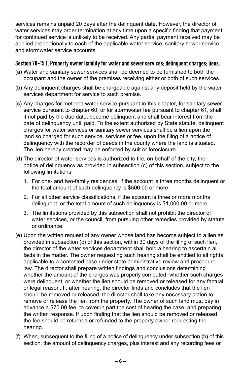services remains unpaid 20 days after the delinquent date. However, the director of water services may order termination at any time upon a specific finding that payment for continued service is unlikely to be received. Any partial payment received may be applied proportionally to each of the applicable water service, sanitary sewer service and stormwater service accounts.

#### Section 78-15.1. Property owner liability for water and sewer services; delinquent charges; liens.

- (a) Water and sanitary sewer services shall be deemed to be furnished to both the occupant and the owner of the premises receiving either or both of such services.
- (b) Any delinquent charges shall be chargeable against any deposit held by the water services department for service to such premise.
- (c) Any charges for metered water service pursuant to this chapter, for sanitary sewer service pursuant to chapter 60, or for stormwater fee pursuant to chapter 61, shall, if not paid by the due date, become delinquent and shall bear interest from the date of delinquency until paid. To the extent authorized by State statute, delinquent charges for water services or sanitary sewer services shall be a lien upon the land so charged for such service, services or fee, upon the filing of a notice of delinquency with the recorder of deeds in the county where the land is situated. The lien hereby created may be enforced by suit or foreclosure.
- (d) The director of water services is authorized to file, on behalf of the city, the notice of delinquency as provided in subsection (c) of this section, subject to the following limitations:
	- 1. For one- and two-family residences, if the account is three months delinquent or the total amount of such delinquency is \$500.00 or more;
	- 2. For all other service classifications, if the account is three or more months delinquent, or the total amount of such delinquency is \$1,000.00 or more.
	- 3. The limitations provided by this subsection shall not prohibit the director of water services, or the council, from pursuing other remedies provided by statute or ordinance.
- (e) Upon the written request of any owner whose land has become subject to a lien as provided in subsection (c) of this section, within 30 days of the filing of such lien, the director of the water services department shall hold a hearing to ascertain all facts in the matter. The owner requesting such hearing shall be entitled to all rights applicable to a contested case under state administrative review and procedure law. The director shall prepare written findings and conclusions determining whether the amount of the charges was properly computed, whether such charges were delinquent, or whether the lien should be removed or released for any factual or legal reason. If, after hearing, the director finds and concludes that the lien should be removed or released, the director shall take any necessary action to remove or release the lien from the property. The owner of such land must pay in advance a \$75.00 fee, to cover in part the cost of hearing the case, and preparing the written response. If upon finding that the lien should be removed or released the fee should be returned or refunded to the property owner requesting the hearing.
- (f) When, subsequent to the filing of a notice of delinquency under subsection (b) of this section, the amount of delinquency charges, plus interest and any recording fees or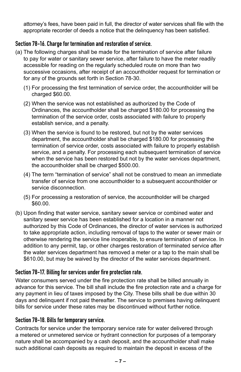attorney's fees, have been paid in full, the director of water services shall file with the appropriate recorder of deeds a notice that the delinquency has been satisfied.

#### Section 78-16. Charge for termination and restoration of service.

- (a) The following charges shall be made for the termination of service after failure to pay for water or sanitary sewer service, after failure to have the meter readily accessible for reading on the regularly scheduled route on more than two successive occasions, after receipt of an accountholder request for termination or for any of the grounds set forth in Section 78-30.
	- (1) For processing the first termination of service order, the accountholder will be charged \$60.00.
	- (2) When the service was not established as authorized by the Code of Ordinances, the accountholder shall be charged \$180.00 for processing the termination of the service order, costs associated with failure to properly establish service, and a penalty.
	- (3) When the service is found to be restored, but not by the water services department, the accountholder shall be charged \$180.00 for processing the termination of service order, costs associated with failure to properly establish service, and a penalty. For processing each subsequent termination of service when the service has been restored but not by the water services department, the accountholder shall be charged \$500.00.
	- (4) The term "termination of service" shall not be construed to mean an immediate transfer of service from one accountholder to a subsequent accountholder or service disconnection.
	- (5) For processing a restoration of service, the accountholder will be charged \$60.00.
- (b) Upon finding that water service, sanitary sewer service or combined water and sanitary sewer service has been established for a location in a manner not authorized by this Code of Ordinances, the director of water services is authorized to take appropriate action, including removal of taps to the water or sewer main or otherwise rendering the service line inoperable, to ensure termination of service. In addition to any permit, tap, or other charges restoration of terminated service after the water services department has removed a meter or a tap to the main shall be \$610.00, but may be waived by the director of the water services department.

#### Section 78-17. Billing for services under fire protection rate.

Water consumers served under the fire protection rate shall be billed annually in advance for this service. The bill shall include the fire protection rate and a charge for any payment in lieu of taxes imposed by the City. These bills shall be due within 30 days and delinquent if not paid thereafter. The service to premises having delinquent bills for service under these rates may be discontinued without further notice.

#### Section 78-18. Bills for temporary service.

Contracts for service under the temporary service rate for water delivered through a metered or unmetered service or hydrant connection for purposes of a temporary nature shall be accompanied by a cash deposit, and the accountholder shall make such additional cash deposits as required to maintain the deposit in excess of the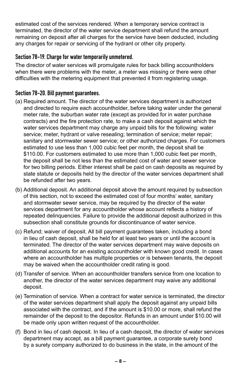estimated cost of the services rendered. When a temporary service contract is terminated, the director of the water service department shall refund the amount remaining on deposit after all charges for the service have been deducted, including any charges for repair or servicing of the hydrant or other city property.

#### Section 78-19. Charge for water temporarily unmetered.

The director of water services will promulgate rules for back billing accountholders when there were problems with the meter, a meter was missing or there were other difficulties with the metering equipment that prevented it from registering usage.

#### Section 78-20. Bill payment guarantees.

- (a) Required amount. The director of the water services department is authorized and directed to require each accountholder, before taking water under the general meter rate, the suburban water rate (except as provided for in water purchase contracts) and the fire protection rate, to make a cash deposit against which the water services department may charge any unpaid bills for the following: water service; meter, hydrant or valve resealing; termination of service; meter repair; sanitary and stormwater sewer service; or other authorized charges. For customers estimated to use less than 1,000 cubic feet per month, the deposit shall be \$110.00. For customers estimated to use more than 1,000 cubic feet per month, the deposit shall be not less than the estimated cost of water and sewer service for two billing periods. Either interest shall be paid on cash deposits as required by state statute or deposits held by the director of the water services department shall be refunded after two years.
- (b) Additional deposit. An additional deposit above the amount required by subsection of this section, not to exceed the estimated cost of four months' water, sanitary and stormwater sewer service, may be required by the director of the water services department for any accountholder whose account reflects a history of repeated delinquencies. Failure to provide the additional deposit authorized in this subsection shall constitute grounds for discontinuance of water service.
- (c) Refund; waiver of deposit. All bill payment guarantees taken, including a bond in lieu of cash deposit, shall be held for at least two years or until the account is terminated. The director of the water services department may waive deposits on additional accounts for an existing accountholder with known good credit. In cases where an accountholder has multiple properties or is between tenants, the deposit may be waived when the accountholder credit rating is good.
- (d) Transfer of service. When an accountholder transfers service from one location to another, the director of the water services department may waive any additional deposit.
- (e) Termination of service. When a contract for water service is terminated, the director of the water services department shall apply the deposit against any unpaid bills associated with the contract, and if the amount is \$10.00 or more, shall refund the remainder of the deposit to the depositor. Refunds in an amount under \$10.00 will be made only upon written request of the accountholder.
- (f) Bond in lieu of cash deposit. In lieu of a cash deposit, the director of water services department may accept, as a bill payment guarantee, a corporate surety bond by a surety company authorized to do business in the state, in the amount of the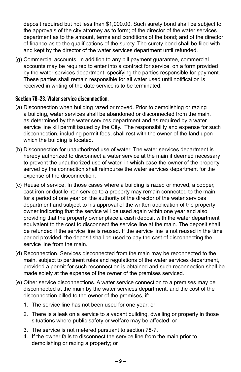deposit required but not less than \$1,000.00. Such surety bond shall be subject to the approvals of the city attorney as to form; of the director of the water services department as to the amount, terms and conditions of the bond; and of the director of finance as to the qualifications of the surety. The surety bond shall be filed with and kept by the director of the water services department until refunded.

(g) Commercial accounts. In addition to any bill payment guarantee, commercial accounts may be required to enter into a contract for service, on a form provided by the water services department, specifying the parties responsible for payment. These parties shall remain responsible for all water used until notification is received in writing of the date service is to be terminated.

#### Section 78-23. Water service disconnection.

- (a) Disconnection when building razed or moved. Prior to demolishing or razing a building, water services shall be abandoned or disconnected from the main, as determined by the water services department and as required by a water service line kill permit issued by the City. The responsibility and expense for such disconnection, including permit fees, shall rest with the owner of the land upon which the building is located.
- (b) Disconnection for unauthorized use of water. The water services department is hereby authorized to disconnect a water service at the main if deemed necessary to prevent the unauthorized use of water, in which case the owner of the property served by the connection shall reimburse the water services department for the expense of the disconnection.
- (c) Reuse of service. In those cases where a building is razed or moved, a copper, cast iron or ductile iron service to a property may remain connected to the main for a period of one year on the authority of the director of the water services department and subject to his approval of the written application of the property owner indicating that the service will be used again within one year and also providing that the property owner place a cash deposit with the water department equivalent to the cost to disconnect the service line at the main. The deposit shall be refunded if the service line is reused. If the service line is not reused in the time period provided, the deposit shall be used to pay the cost of disconnecting the service line from the main.
- (d) Reconnection. Services disconnected from the main may be reconnected to the main, subject to pertinent rules and regulations of the water services department, provided a permit for such reconnection is obtained and such reconnection shall be made solely at the expense of the owner of the premises serviced.
- (e) Other service disconnections. A water service connection to a premises may be disconnected at the main by the water services department, and the cost of the disconnection billed to the owner of the premises, if:
	- 1. The service line has not been used for one year; or
	- 2. There is a leak on a service to a vacant building, dwelling or property in those situations where public safety or welfare may be affected; or
	- 3. The service is not metered pursuant to section 78-7.
	- 4. If the owner fails to disconnect the service line from the main prior to demolishing or razing a property; or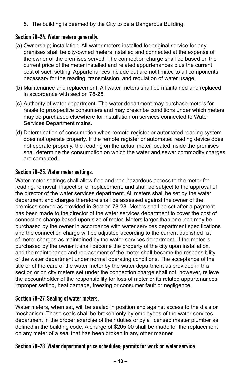5. The building is deemed by the City to be a Dangerous Building.

#### Section 78-24. Water meters generally.

- (a) Ownership; installation. All water meters installed for original service for any premises shall be city-owned meters installed and connected at the expense of the owner of the premises served. The connection charge shall be based on the current price of the meter installed and related appurtenances plus the current cost of such setting. Appurtenances include but are not limited to all components necessary for the reading, transmission, and regulation of water usage.
- (b) Maintenance and replacement. All water meters shall be maintained and replaced in accordance with section 78-25.
- (c) Authority of water department. The water department may purchase meters for resale to prospective consumers and may prescribe conditions under which meters may be purchased elsewhere for installation on services connected to Water Services Department mains.
- (d) Determination of consumption when remote register or automated reading system does not operate properly. If the remote register or automated reading device does not operate properly, the reading on the actual meter located inside the premises shall determine the consumption on which the water and sewer commodity charges are computed.

#### Section 78-25. Water meter settings.

Water meter settings shall allow free and non-hazardous access to the meter for reading, removal, inspection or replacement, and shall be subject to the approval of the director of the water services department. All meters shall be set by the water department and charges therefore shall be assessed against the owner of the premises served as provided in Section 78-28. Meters shall be set after a payment has been made to the director of the water services department to cover the cost of connection charge based upon size of meter. Meters larger than one inch may be purchased by the owner in accordance with water services department specifications and the connection charge will be adjusted according to the current published list of meter charges as maintained by the water services department. If the meter is purchased by the owner it shall become the property of the city upon installation, and the maintenance and replacement of the meter shall become the responsibility of the water department under normal operating conditions. The acceptance of the title or of the care of the water meter by the water department as provided in this section or on city meters set under the connection charge shall not, however, relieve the accountholder of the responsibility for loss of meter or its related appurtenances, improper setting, heat damage, freezing or consumer fault or negligence.

#### Section 78-27. Sealing of water meters.

Water meters, when set, will be sealed in position and against access to the dials or mechanism. These seals shall be broken only by employees of the water services department in the proper exercise of their duties or by a licensed master plumber as defined in the building code. A charge of \$205.00 shall be made for the replacement on any meter of a seal that has been broken in any other manner.

#### Section 78-28. Water department price schedules; permits for work on water service.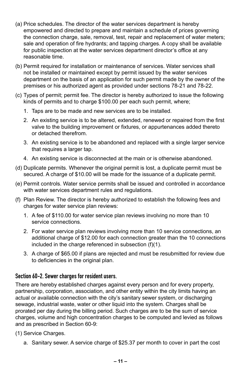- (a) Price schedules. The director of the water services department is hereby empowered and directed to prepare and maintain a schedule of prices governing the connection charge, sale, removal, test, repair and replacement of water meters; sale and operation of fire hydrants; and tapping charges. A copy shall be available for public inspection at the water services department director's office at any reasonable time.
- (b) Permit required for installation or maintenance of services. Water services shall not be installed or maintained except by permit issued by the water services department on the basis of an application for such permit made by the owner of the premises or his authorized agent as provided under sections 78-21 and 78-22.
- (c) Types of permit; permit fee. The director is hereby authorized to issue the following kinds of permits and to charge \$100.00 per each such permit, where;
	- 1. Taps are to be made and new services are to be installed.
	- 2. An existing service is to be altered, extended, renewed or repaired from the first valve to the building improvement or fixtures, or appurtenances added thereto or detached therefrom.
	- 3. An existing service is to be abandoned and replaced with a single larger service that requires a larger tap.
	- 4. An existing service is disconnected at the main or is otherwise abandoned.
- (d) Duplicate permits. Whenever the original permit is lost, a duplicate permit must be secured. A charge of \$10.00 will be made for the issuance of a duplicate permit.
- (e) Permit controls. Water service permits shall be issued and controlled in accordance with water services department rules and regulations.
- (f) Plan Review. The director is hereby authorized to establish the following fees and charges for water service plan reviews:
	- 1. A fee of \$110.00 for water service plan reviews involving no more than 10 service connections.
	- 2. For water service plan reviews involving more than 10 service connections, an additional charge of \$12.00 for each connection greater than the 10 connections included in the charge referenced in subsection (f)(1).
	- 3. A charge of \$65.00 if plans are rejected and must be resubmitted for review due to deficiencies in the original plan.

#### Section 60-2. Sewer charges for resident users.

There are hereby established charges against every person and for every property, partnership, corporation, association, and other entity within the city limits having an actual or available connection with the city's sanitary sewer system, or discharging sewage, industrial waste, water or other liquid into the system. Charges shall be prorated per day during the billing period. Such charges are to be the sum of service charges, volume and high concentration charges to be computed and levied as follows and as prescribed in Section 60-9:

- (1) Service Charges.
	- a. Sanitary sewer. A service charge of \$25.37 per month to cover in part the cost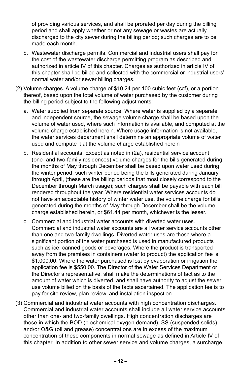of providing various services, and shall be prorated per day during the billing period and shall apply whether or not any sewage or wastes are actually discharged to the city sewer during the billing period; such charges are to be made each month.

- b. Wastewater discharge permits. Commercial and industrial users shall pay for the cost of the wastewater discharge permitting program as described and authorized in article IV of this chapter. Charges as authorized in article IV of this chapter shall be billed and collected with the commercial or industrial users' normal water and/or sewer billing charges.
- (2) Volume charges. A volume charge of \$10.24 per 100 cubic feet (ccf), or a portion thereof, based upon the total volume of water purchased by the customer during the billing period subject to the following adjustments:
	- a. Water supplied from separate source. Where water is supplied by a separate and independent source, the sewage volume charge shall be based upon the volume of water used, where such information is available, and computed at the volume charge established herein. Where usage information is not available, the water services department shall determine an appropriate volume of water used and compute it at the volume charge established herein
	- b. Residential accounts. Except as noted in (2a), residential service account (one- and two-family residences) volume charges for the bills generated during the months of May through December shall be based upon water used during the winter period, such winter period being the bills generated during January through April, (these are the billing periods that most closely correspond to the December through March usage); such charges shall be payable with each bill rendered throughout the year. Where residential water services accounts do not have an acceptable history of winter water use, the volume charge for bills generated during the months of May through December shall be the volume charge established herein, or \$61.44 per month, whichever is the lesser.
	- c. Commercial and industrial water accounts with diverted water uses. Commercial and industrial water accounts are all water service accounts other than one and two-family dwellings. Diverted water uses are those where a significant portion of the water purchased is used in manufactured products such as ice, canned goods or beverages. Where the product is transported away from the premises in containers (water to product) the application fee is \$1,000.00. Where the water purchased is lost by evaporation or irrigation the application fee is \$550.00. The Director of the Water Services Department or the Director's representative, shall make the determinations of fact as to the amount of water which is diverted, and shall have authority to adjust the sewer use volume billed on the basis of the facts ascertained. The application fee is to pay for site review, plan review, and installation inspection.
- (3) Commercial and industrial water accounts with high concentration discharges. Commercial and industrial water accounts shall include all water service accounts other than one- and two-family dwellings. High concentration discharges are those in which the BOD (biochemical oxygen demand), SS (suspended solids), and/or O&G (oil and grease) concentrations are in excess of the maximum concentration of these components in normal sewage as defined in Article IV of this chapter. In addition to other sewer service and volume charges, a surcharge,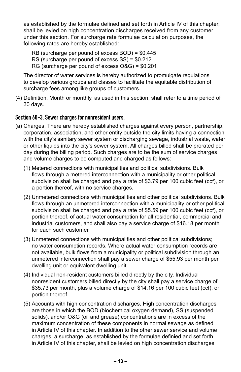as established by the formulae defined and set forth in Article IV of this chapter, shall be levied on high concentration discharges received from any customer under this section. For surcharge rate formulae calculation purposes, the following rates are hereby established:

- RB (surcharge per pound of excess BOD) = \$0.445
- RS (surcharge per pound of excess SS) = \$0.212
- RG (surcharge per pound of excess O&G) = \$0.201

The director of water services is hereby authorized to promulgate regulations to develop various groups and classes to facilitate the equitable distribution of surcharge fees among like groups of customers.

(4) Definition. Month or monthly, as used in this section, shall refer to a time period of 30 days.

#### Section 60-3. Sewer charges for nonresident users.

- (a) Charges. There are hereby established charges against every person, partnership, corporation, association, and other entity outside the city limits having a connection with the city's sanitary sewer system or discharging sewage, industrial waste, water or other liquids into the city's sewer system. All charges billed shall be prorated per day during the billing period. Such charges are to be the sum of service charges and volume charges to be computed and charged as follows:
	- (1) Metered connections with municipalities and political subdivisions. Bulk flows through a metered interconnection with a municipality or other political subdivision shall be charged and pay a rate of \$3.79 per 100 cubic feet (ccf), or a portion thereof, with no service charges.
	- (2) Unmetered connections with municipalities and other political subdivisions. Bulk flows through an unmetered interconnection with a municipality or other political subdivision shall be charged and pay a rate of \$5.59 per 100 cubic feet (ccf), or portion thereof, of actual water consumption for all residential, commercial and industrial customers, and shall also pay a service charge of \$16.18 per month for each such customer.
	- (3) Unmetered connections with municipalities and other political subdivisions; no water consumption records. Where actual water consumption records are not available, bulk flows from a municipality or political subdivision through an unmetered interconnection shall pay a sewer charge of \$55.93 per month per dwelling unit or equivalent dwelling unit.
	- (4) Individual non-resident customers billed directly by the city. Individual nonresident customers billed directly by the city shall pay a service charge of \$35.73 per month, plus a volume charge of \$14.16 per 100 cubic feet (ccf), or portion thereof.
	- (5) Accounts with high concentration discharges. High concentration discharges are those in which the BOD (biochemical oxygen demand), SS (suspended solids), and/or O&G (oil and grease) concentrations are in excess of the maximum concentration of these components in normal sewage as defined in Article IV of this chapter. In addition to the other sewer service and volume charges, a surcharge, as established by the formulae definied and set forth in Article IV of this chapter, shall be levied on high concentration discharges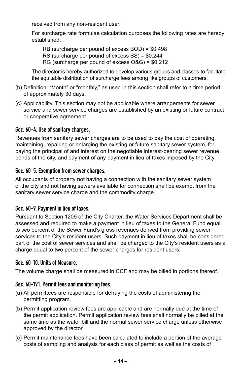received from any non-resident user.

For surcharge rate formulae calculation purposes the following rates are hereby established:

RB (surcharge per pound of excess BOD) = \$0.498 RS (surcharge per pound of excess SS) = \$0.244 RG (surcharge per pound of excess O&G) = \$0.212

The director is hereby authorized to develop various groups and classes to facilitate the equitable distribution of surcharge fees among like groups of customers.

- (b) Definition. "Month" or "monthly," as used in this section shall refer to a time period of approximately 30 days.
- (c) Applicability. This section may not be applicable where arrangements for sewer service and sewer service charges are established by an existing or future contract or cooperative agreement.

#### Sec. 60-4. Use of sanitary charges.

Revenues from sanitary sewer charges are to be used to pay the cost of operating, maintaining, repairing or enlarging the existing or future sanitary sewer system, for paying the principal of and interest on the negotiable interest-bearing sewer revenue bonds of the city, and payment of any payment in lieu of taxes imposed by the City.

#### Sec. 60-5. Exemption from sewer charges.

All occupants of property not having a connection with the sanitary sewer system of the city and not having sewers available for connection shall be exempt from the sanitary sewer service charge and the commodity charge.

#### Sec. 60-9. Payment in lieu of taxes.

Pursuant to Section 1209 of the City Charter, the Water Services Department shall be assessed and required to make a payment in lieu of taxes to the General Fund equal to two percent of the Sewer Fund's gross revenues derived from providing sewer services to the City's resident users. Such payment in lieu of taxes shall be considered part of the cost of sewer services and shall be charged to the City's resident users as a charge equal to two percent of the sewer charges for resident users.

#### Sec. 60-10. Units of Measure.

The volume charge shall be measured in CCF and may be billed in portions thereof.

#### Sec. 60-191. Permit fees and monitoring fees.

- (a) All permittees are responsible for defraying the costs of administering the permitting program.
- (b) Permit application review fees are applicable and are normally due at the time of the permit application. Permit application review fees shall normally be billed at the same time as the water bill and the normal sewer service charge unless otherwise approved by the director.
- (c) Permit maintenance fees have been calculated to include a portion of the average costs of sampling and analysis for each class of permit as well as the costs of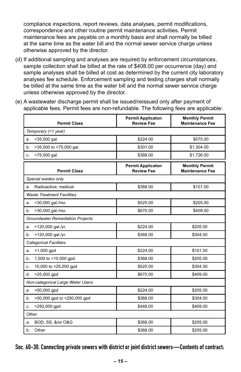compliance inspections, report reviews, data analyses, permit modifications, correspondence and other routine permit maintenance activities. Permit maintenance fees are payable on a monthly basis and shall normally be billed at the same time as the water bill and the normal sewer service charge unless otherwise approved by the director.

- (d) If additional sampling and analyses are required by enforcement circumstances, sample collection shall be billed at the rate of \$408.00 per occurrence (day) and sample analyses shall be billed at cost as determined by the current city laboratory analyses fee schedule. Enforcement sampling and testing charges shall normally be billed at the same time as the water bill and the normal sewer service charge unless otherwise approved by the director.
- (e) A wastewater discharge permit shall be issued/reissued only after payment of applicable fees. Permit fees are non-refundable. The following fees are applicable:

| <b>Permit Class</b>                     | <b>Permit Applicaton</b><br><b>Review Fee</b> | <b>Monthly Permit</b><br><b>Maintenance Fee</b> |  |
|-----------------------------------------|-----------------------------------------------|-------------------------------------------------|--|
| Temporary (<1 year)                     |                                               |                                                 |  |
| <35,000 gal.<br>a.                      | \$224.00                                      | \$575.00                                        |  |
| b.<br>>35,000 to <75,000 gal.           | \$301.00                                      | \$1,304.00                                      |  |
| >75,000 gal.<br>c.                      | \$368.00                                      | \$1,726.00                                      |  |
| <b>Permit Class</b>                     | <b>Permit Applicaton</b><br><b>Review Fee</b> | <b>Monthly Permit</b><br><b>Maintenance Fee</b> |  |
| Special wastes only                     |                                               |                                                 |  |
| Radioactive, medical<br>a.              | \$368.00                                      | \$101.00                                        |  |
| <b>Waste Treatment Facilities</b>       |                                               |                                                 |  |
| <30,000 gal./mo.<br>a.                  | \$525.00                                      | \$205.00                                        |  |
| >30,000 gal./mo.<br>b.                  | \$670.00                                      | \$409.00                                        |  |
| <b>Groundwater Remediation Projects</b> |                                               |                                                 |  |
| <120,000 gal./yr.<br>a.                 | \$224.00                                      | \$205.00                                        |  |
| >120,000 gal./yr.<br>b.                 | \$368.00                                      | \$304.00                                        |  |
| <b>Categorical Facilities</b>           |                                               |                                                 |  |
| $<$ 1,000 gpd<br>a.                     | \$224.00                                      | \$101.00                                        |  |
| 1,000 to <10.000 gpd<br>b.              | \$368.00                                      | \$205.00                                        |  |
| 10,000 to <25,000 gpd<br>c.             | \$525.00                                      | \$304.00                                        |  |
| d.<br>>25,000 gpd                       | \$670.00                                      | \$409.00                                        |  |
| Non-categorical Large Water Users       |                                               |                                                 |  |
| <50,000 gpd<br>a.                       | \$224.00                                      | \$205.00                                        |  |
| >50,000 gpd to <250,000 gpd<br>b.       | \$368.00                                      | \$304.00                                        |  |
| >250,000 gpd<br>c.                      | \$448.00                                      | \$409.00                                        |  |
| Other                                   |                                               |                                                 |  |
| BOD, SS, &/or O&G<br>a.                 | \$368.00                                      | \$205.00                                        |  |
| Other<br>b.                             | \$368.00                                      | \$205.00                                        |  |

Sec. 60-30. Connecting private sewers with district or joint district sewers—Contents of contract;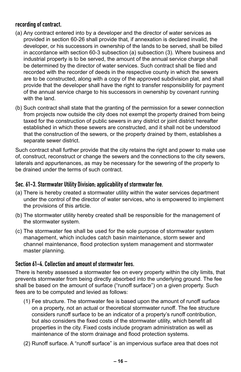#### recording of contract.

- (a) Any contract entered into by a developer and the director of water services as provided in section 60-26 shall provide that, if annexation is declared invalid, the developer, or his successors in ownership of the lands to be served, shall be billed in accordance with section 60-3 subsection (a) subsection (3). Where business and industrial property is to be served, the amount of the annual service charge shall be determined by the director of water services. Such contract shall be filed and recorded with the recorder of deeds in the respective county in which the sewers are to be constructed, along with a copy of the approved subdivision plat, and shall provide that the developer shall have the right to transfer responsibility for payment of the annual service charge to his successors in ownership by covenant running with the land.
- (b) Such contract shall state that the granting of the permission for a sewer connection from projects now outside the city does not exempt the property drained from being taxed for the construction of public sewers in any district or joint district hereafter established in which these sewers are constructed, and it shall not be understood that the construction of the sewers, or the property drained by them, establishes a separate sewer district.

Such contract shall further provide that the city retains the right and power to make use of, construct, reconstruct or change the sewers and the connections to the city sewers, laterals and appurtenances, as may be necessary for the sewering of the property to be drained under the terms of such contract.

#### Sec. 61-3. Stormwater Utility Division; applicability of stormwater fee.

- (a) There is hereby created a stormwater utility within the water services department under the control of the director of water services, who is empowered to implement the provisions of this article.
- (b) The stormwater utility hereby created shall be responsible for the management of the stormwater system.
- (c) The stormwater fee shall be used for the sole purpose of stormwater system management, which includes catch basin maintenance, storm sewer and channel maintenance, flood protection system management and stormwater master planning.

#### Section 61-4. Collection and amount of stormwater fees.

There is hereby assessed a stormwater fee on every property within the city limits, that prevents stormwater from being directly absorbed into the underlying ground. The fee shall be based on the amount of surface ("runoff surface") on a given property. Such fees are to be computed and levied as follows:

- (1) Fee structure. The stormwater fee is based upon the amount of runoff surface on a property, not an actual or theoretical stormwater runoff. The fee structure considers runoff surface to be an indicator of a property's runoff contribution, but also considers the fixed costs of the stormwater utility, which benefit all properties in the city. Fixed costs include program administration as well as maintenance of the storm drainage and flood protection systems.
- (2) Runoff surface. A "runoff surface" is an impervious surface area that does not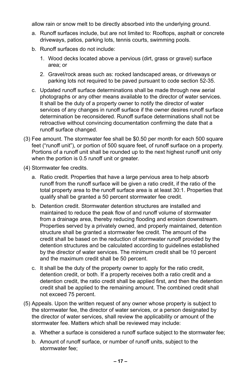allow rain or snow melt to be directly absorbed into the underlying ground.

- a. Runoff surfaces include, but are not limited to: Rooftops, asphalt or concrete driveways, patios, parking lots, tennis courts, swimming pools.
- b. Runoff surfaces do not include:
	- 1. Wood decks located above a pervious (dirt, grass or gravel) surface area; or
	- 2. Gravel/rock areas such as: rocked landscaped areas, or driveways or parking lots not required to be paved pursuant to code section 52-35.
- c. Updated runoff surface determinations shall be made through new aerial photographs or any other means available to the director of water services. It shall be the duty of a property owner to notify the director of water services of any changes in runoff surface if the owner desires runoff surface determination be reconsidered. Runoff surface determinations shall not be retroactive without convincing documentation confirming the date that a runoff surface changed.
- (3) Fee amount. The stormwater fee shall be \$0.50 per month for each 500 square feet ("runoff unit"), or portion of 500 square feet, of runoff surface on a property. Portions of a runoff unit shall be rounded up to the next highest runoff unit only when the portion is 0.5 runoff unit or greater.
- (4) Stormwater fee credits.
	- a. Ratio credit. Properties that have a large pervious area to help absorb runoff from the runoff surface will be given a ratio credit, if the ratio of the total property area to the runoff surface area is at least 30:1. Properties that qualify shall be granted a 50 percent stormwater fee credit.
	- b. Detention credit. Stormwater detention structures are installed and maintained to reduce the peak flow of and runoff volume of stormwater from a drainage area, thereby reducing flooding and erosion downstream. Properties served by a privately owned, and properly maintained, detention structure shall be granted a stormwater fee credit. The amount of the credit shall be based on the reduction of stormwater runoff provided by the detention structures and be calculated according to guidelines established by the director of water services. The minimum credit shall be 10 percent and the maximum credit shall be 50 percent.
	- c. It shall be the duty of the property owner to apply for the ratio credit, detention credit, or both. If a property receives both a ratio credit and a detention credit, the ratio credit shall be applied first, and then the detention credit shall be applied to the remaining amount. The combined credit shall not exceed 75 percent.
- (5) Appeals. Upon the written request of any owner whose property is subject to the stormwater fee, the director of water services, or a person designated by the director of water services, shall review the applicability or amount of the stormwater fee. Matters which shall be reviewed may include:
	- a. Whether a surface is considered a runoff surface subject to the stormwater fee;
	- b. Amount of runoff surface, or number of runoff units, subject to the stormwater fee;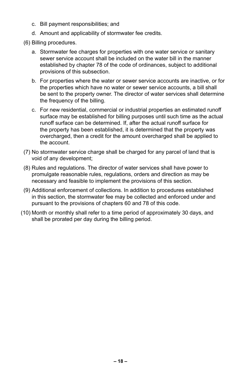- c. Bill payment responsibilities; and
- d. Amount and applicability of stormwater fee credits.
- (6) Billing procedures.
	- a. Stormwater fee charges for properties with one water service or sanitary sewer service account shall be included on the water bill in the manner established by chapter 78 of the code of ordinances, subject to additional provisions of this subsection.
	- b. For properties where the water or sewer service accounts are inactive, or for the properties which have no water or sewer service accounts, a bill shall be sent to the property owner. The director of water services shall determine the frequency of the billing.
	- c. For new residential, commercial or industrial properties an estimated runoff surface may be established for billing purposes until such time as the actual runoff surface can be determined. If, after the actual runoff surface for the property has been established, it is determined that the property was overcharged, then a credit for the amount overcharged shall be applied to the account.
- (7) No stormwater service charge shall be charged for any parcel of land that is void of any development;
- (8) Rules and regulations. The director of water services shall have power to promulgate reasonable rules, regulations, orders and direction as may be necessary and feasible to implement the provisions of this section.
- (9) Additional enforcement of collections. In addition to procedures established in this section, the stormwater fee may be collected and enforced under and pursuant to the provisions of chapters 60 and 78 of this code.
- (10) Month or monthly shall refer to a time period of approximately 30 days, and shall be prorated per day during the billing period.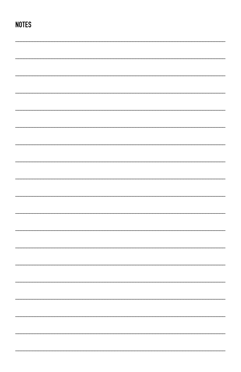# **NOTES**